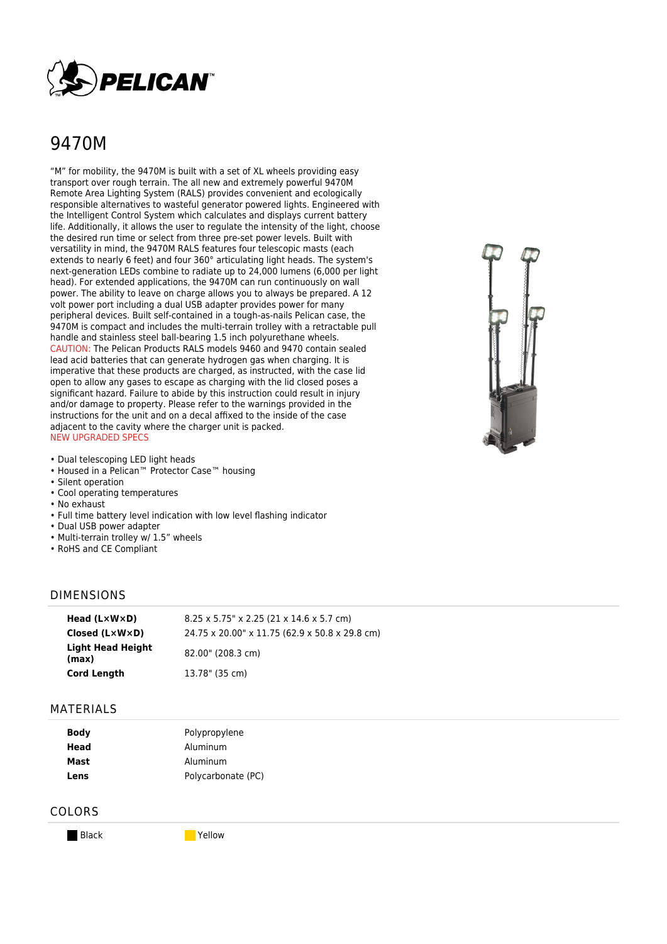

# 9470M

"M" for mobility, the 9470M is built with a set of XL wheels providing easy transport over rough terrain. The all new and extremely powerful 9470M Remote Area Lighting System (RALS) provides convenient and ecologically responsible alternatives to wasteful generator powered lights. Engineered with the Intelligent Control System which calculates and displays current battery life. Additionally, it allows the user to regulate the intensity of the light, choose the desired run time or select from three pre-set power levels. Built with versatility in mind, the 9470M RALS features four telescopic masts (each extends to nearly 6 feet) and four 360° articulating light heads. The system's next-generation LEDs combine to radiate up to 24,000 lumens (6,000 per light head). For extended applications, the 9470M can run continuously on wall power. The ability to leave on charge allows you to always be prepared. A 12 volt power port including a dual USB adapter provides power for many peripheral devices. Built self-contained in a tough-as-nails Pelican case, the 9470M is compact and includes the multi-terrain trolley with a retractable pull handle and stainless steel ball-bearing 1.5 inch polyurethane wheels. CAUTION: The Pelican Products RALS models 9460 and 9470 contain sealed lead acid batteries that can generate hydrogen gas when charging. It is imperative that these products are charged, as instructed, with the case lid open to allow any gases to escape as charging with the lid closed poses a significant hazard. Failure to abide by this instruction could result in injury and/or damage to property. Please refer to the warnings provided in the instructions for the unit and on a decal affixed to the inside of the case adjacent to the cavity where the charger unit is packed. NEW UPGRADED SPECS

- Dual telescoping LED light heads
- Housed in a Pelican™ Protector Case™ housing
- Silent operation
- Cool operating temperatures
- No exhaust
- Full time battery level indication with low level flashing indicator
- Dual USB power adapter
- Multi-terrain trolley w/ 1.5" wheels
- RoHS and CE Compliant

#### DIMENSIONS

| Head $(L \times W \times D)$      | $8.25 \times 5.75$ " x 2.25 (21 x 14.6 x 5.7 cm) |
|-----------------------------------|--------------------------------------------------|
| Closed $(L \times W \times D)$    | 24.75 x 20.00" x 11.75 (62.9 x 50.8 x 29.8 cm)   |
| <b>Light Head Height</b><br>(max) | 82.00" (208.3 cm)                                |
| <b>Cord Length</b>                | 13.78" (35 cm)                                   |

#### MATERIALS

| <b>Body</b> | Polypropylene      |  |
|-------------|--------------------|--|
| Head        | Aluminum           |  |
| Mast        | Aluminum           |  |
| Lens        | Polycarbonate (PC) |  |

#### COLORS

Black **Yellow**